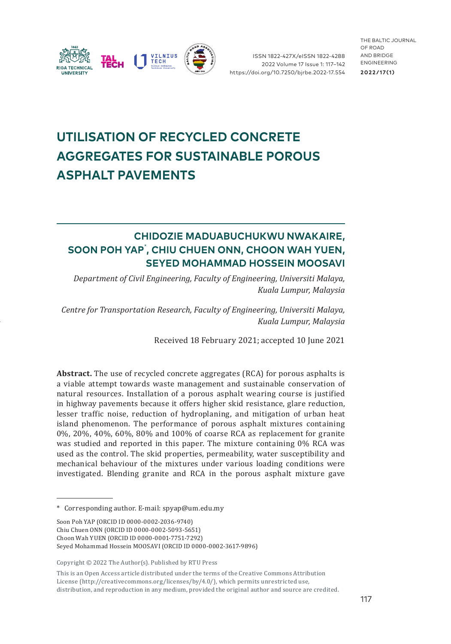

ISSN 1822-427X/eISSN 1822-4288 2022 Volume 17 Issue 1: 117–142 [https://doi.org/10.7250/bjrbe.2022-17.55](https://doi.org/10.7250/bjrbe.2022-17.554)4

THE BALTIC JOURNAL OF ROAD AND BRIDGE ENGINEERING **2022/17 ( 1 )**

# **UTILISATION OF RECYCLED CONCRETE AGGREGATES FOR SUSTAINABLE POROUS ASPHALT PAVEMENTS**

## **CHIDOZIE MADUABUCHUKWU NWAKAIRE, SOON POH YAP**\* **, CHIU CHUEN ONN, CHOON WAH YUEN, SEYED MOHAMMAD HOSSEIN MOOSAVI**

*Department of Civil Engineering, Faculty of Engineering, Universiti Malaya, Kuala Lumpur, Malaysia*

*Centre for Transportation Research, Faculty of Engineering, Universiti Malaya, Kuala Lumpur, Malaysia*

Received 18 February 2021; accepted 10 June 2021

**Abstract.** The use of recycled concrete aggregates (RCA) for porous asphalts is a viable attempt towards waste management and sustainable conservation of natural resources. Installation of a porous asphalt wearing course is justified in highway pavements because it offers higher skid resistance, glare reduction, lesser traffic noise, reduction of hydroplaning, and mitigation of urban heat island phenomenon. The performance of porous asphalt mixtures containing 0%, 20%, 40%, 60%, 80% and 100% of coarse RCA as replacement for granite was studied and reported in this paper. The mixture containing 0% RCA was used as the control. The skid properties, permeability, water susceptibility and mechanical behaviour of the mixtures under various loading conditions were investigated. Blending granite and RCA in the porous asphalt mixture gave

Copyright © 2022 The Author(s). Published by RTU Press

This is an Open Access article distributed under the terms of the Creative Commons Attribution License [\(http://creativecommons.org/licenses/by/4.0/](http://creativecommons.org/licenses/by/4.0/)), which permits unrestricted use, distribution, and reproduction in any medium, provided the original author and source are credited.

<sup>\*</sup> Corresponding author. E-mail: [spyap@um.edu.my](mailto:spyap@um.edu.my)

Soon Poh YAP (ORCID ID [0000-0002-2036-9740](https://orcid.org/0000-0002-2036-9740)) Chiu Chuen ONN (ORCID ID [0000-0002-5093-5651\)](https://orcid.org/0000-0002-5093-5651) Choon Wah YUEN (ORCID ID [0000-0001-7751-7292](https://orcid.org/0000-0001-7751-7292)) Seyed Mohammad Hossein MOOSAVI (ORCID ID [0000-0002-3617-9896\)](https://orcid.org/0000-0002-3617-9896)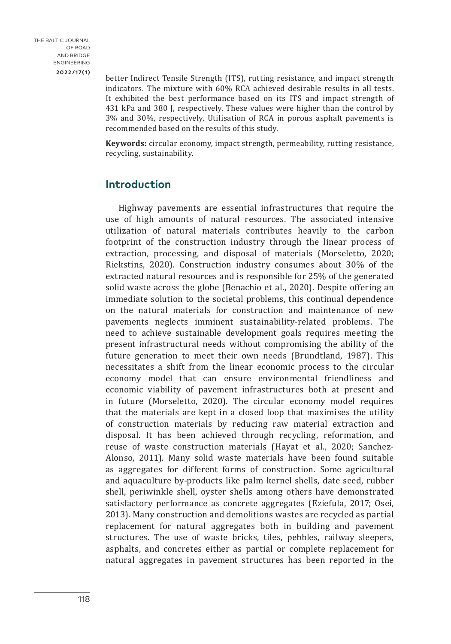better Indirect Tensile Strength (ITS), rutting resistance, and impact strength indicators. The mixture with 60% RCA achieved desirable results in all tests. It exhibited the best performance based on its ITS and impact strength of 431 kPa and 380 J, respectively. These values were higher than the control by 3% and 30%, respectively. Utilisation of RCA in porous asphalt pavements is recommended based on the results of this study.

**Keywords:** circular economy, impact strength, permeability, rutting resistance, recycling, sustainability.

### **Introduction**

Highway pavements are essential infrastructures that require the use of high amounts of natural resources. The associated intensive utilization of natural materials contributes heavily to the carbon footprint of the construction industry through the linear process of extraction, processing, and disposal of materials (Morseletto, 2020; Riekstins, 2020). Construction industry consumes about 30% of the extracted natural resources and is responsible for 25% of the generated solid waste across the globe (Benachio et al., 2020). Despite offering an immediate solution to the societal problems, this continual dependence on the natural materials for construction and maintenance of new pavements neglects imminent sustainability-related problems. The need to achieve sustainable development goals requires meeting the present infrastructural needs without compromising the ability of the future generation to meet their own needs (Brundtland, 1987). This necessitates a shift from the linear economic process to the circular economy model that can ensure environmental friendliness and economic viability of pavement infrastructures both at present and in future (Morseletto, 2020). The circular economy model requires that the materials are kept in a closed loop that maximises the utility of construction materials by reducing raw material extraction and disposal. It has been achieved through recycling, reformation, and reuse of waste construction materials (Hayat et al., 2020; Sanchez-Alonso, 2011). Many solid waste materials have been found suitable as aggregates for different forms of construction. Some agricultural and aquaculture by-products like palm kernel shells, date seed, rubber shell, periwinkle shell, oyster shells among others have demonstrated satisfactory performance as concrete aggregates (Eziefula, 2017; Osei, 2013). Many construction and demolitions wastes are recycled as partial replacement for natural aggregates both in building and pavement structures. The use of waste bricks, tiles, pebbles, railway sleepers, asphalts, and concretes either as partial or complete replacement for natural aggregates in pavement structures has been reported in the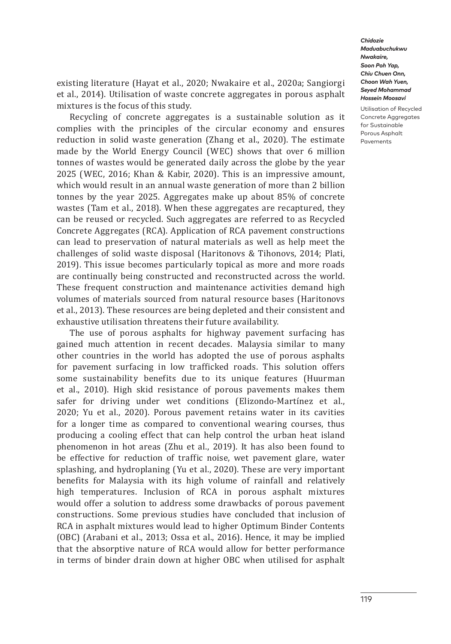Utilisation of Recycled Concrete Aggregates for Sustainable Porous Asphalt Pavements

existing literature (Hayat et al., 2020; Nwakaire et al., 2020a; Sangiorgi et al., 2014). Utilisation of waste concrete aggregates in porous asphalt mixtures is the focus of this study.

Recycling of concrete aggregates is a sustainable solution as it complies with the principles of the circular economy and ensures reduction in solid waste generation (Zhang et al., 2020). The estimate made by the World Energy Council (WEC) shows that over 6 million tonnes of wastes would be generated daily across the globe by the year 2025 (WEC, 2016; Khan & Kabir, 2020). This is an impressive amount, which would result in an annual waste generation of more than 2 billion tonnes by the year 2025. Aggregates make up about 85% of concrete wastes (Tam et al., 2018). When these aggregates are recaptured, they can be reused or recycled. Such aggregates are referred to as Recycled Concrete Aggregates (RCA). Application of RCA pavement constructions can lead to preservation of natural materials as well as help meet the challenges of solid waste disposal (Haritonovs & Tihonovs, 2014; Plati, 2019). This issue becomes particularly topical as more and more roads are continually being constructed and reconstructed across the world. These frequent construction and maintenance activities demand high volumes of materials sourced from natural resource bases (Haritonovs et al., 2013). These resources are being depleted and their consistent and exhaustive utilisation threatens their future availability.

The use of porous asphalts for highway pavement surfacing has gained much attention in recent decades. Malaysia similar to many other countries in the world has adopted the use of porous asphalts for pavement surfacing in low trafficked roads. This solution offers some sustainability benefits due to its unique features (Huurman et al., 2010). High skid resistance of porous pavements makes them safer for driving under wet conditions (Elizondo-Martínez et al., 2020; Yu et al., 2020). Porous pavement retains water in its cavities for a longer time as compared to conventional wearing courses, thus producing a cooling effect that can help control the urban heat island phenomenon in hot areas (Zhu et al., 2019). It has also been found to be effective for reduction of traffic noise, wet pavement glare, water splashing, and hydroplaning (Yu et al., 2020). These are very important benefits for Malaysia with its high volume of rainfall and relatively high temperatures. Inclusion of RCA in porous asphalt mixtures would offer a solution to address some drawbacks of porous pavement constructions. Some previous studies have concluded that inclusion of RCA in asphalt mixtures would lead to higher Optimum Binder Contents (OBC) (Arabani et al., 2013; Ossa et al., 2016). Hence, it may be implied that the absorptive nature of RCA would allow for better performance in terms of binder drain down at higher OBC when utilised for asphalt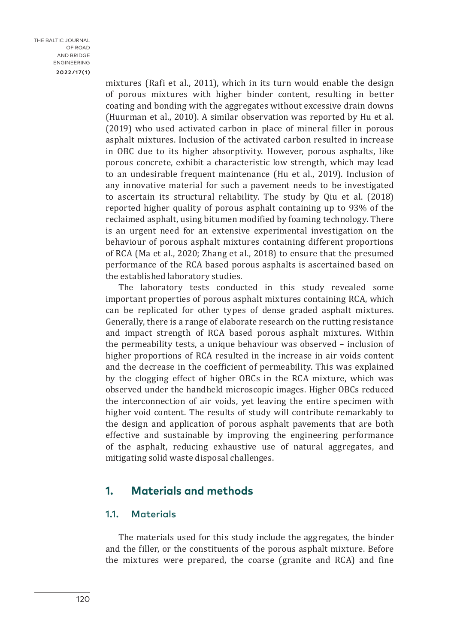mixtures (Rafi et al., 2011), which in its turn would enable the design of porous mixtures with higher binder content, resulting in better coating and bonding with the aggregates without excessive drain downs (Huurman et al., 2010). A similar observation was reported by Hu et al. (2019) who used activated carbon in place of mineral filler in porous asphalt mixtures. Inclusion of the activated carbon resulted in increase in OBC due to its higher absorptivity. However, porous asphalts, like porous concrete, exhibit a characteristic low strength, which may lead to an undesirable frequent maintenance (Hu et al., 2019). Inclusion of any innovative material for such a pavement needs to be investigated to ascertain its structural reliability. The study by Qiu et al. (2018) reported higher quality of porous asphalt containing up to 93% of the reclaimed asphalt, using bitumen modified by foaming technology. There is an urgent need for an extensive experimental investigation on the behaviour of porous asphalt mixtures containing different proportions of RCA (Ma et al., 2020; Zhang et al., 2018) to ensure that the presumed performance of the RCA based porous asphalts is ascertained based on the established laboratory studies.

The laboratory tests conducted in this study revealed some important properties of porous asphalt mixtures containing RCA, which can be replicated for other types of dense graded asphalt mixtures. Generally, there is a range of elaborate research on the rutting resistance and impact strength of RCA based porous asphalt mixtures. Within the permeability tests, a unique behaviour was observed – inclusion of higher proportions of RCA resulted in the increase in air voids content and the decrease in the coefficient of permeability. This was explained by the clogging effect of higher OBCs in the RCA mixture, which was observed under the handheld microscopic images. Higher OBCs reduced the interconnection of air voids, yet leaving the entire specimen with higher void content. The results of study will contribute remarkably to the design and application of porous asphalt pavements that are both effective and sustainable by improving the engineering performance of the asphalt, reducing exhaustive use of natural aggregates, and mitigating solid waste disposal challenges.

### **1. Materials and methods**

### 1.1. Materials

The materials used for this study include the aggregates, the binder and the filler, or the constituents of the porous asphalt mixture. Before the mixtures were prepared, the coarse (granite and RCA) and fine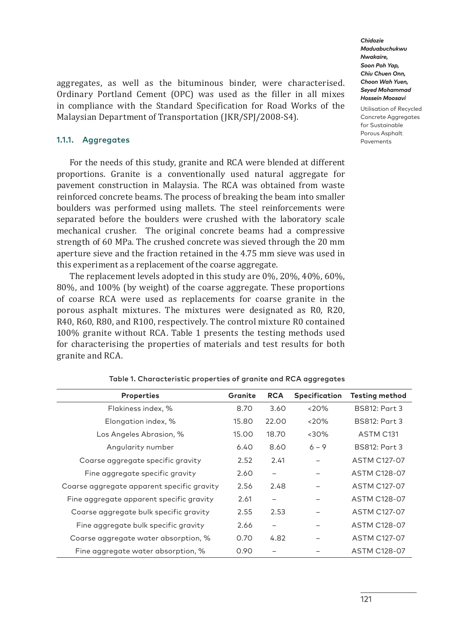Utilisation of Recycled Concrete Aggregates for Sustainable Porous Asphalt Pavements

aggregates, as well as the bituminous binder, were characterised. Ordinary Portland Cement (OPC) was used as the filler in all mixes in compliance with the Standard Specification for Road Works of the Malaysian Department of Transportation (JKR/SPJ/2008-S4).

### 1.1.1. Aggregates

For the needs of this study, granite and RCA were blended at different proportions. Granite is a conventionally used natural aggregate for pavement construction in Malaysia. The RCA was obtained from waste reinforced concrete beams. The process of breaking the beam into smaller boulders was performed using mallets. The steel reinforcements were separated before the boulders were crushed with the laboratory scale mechanical crusher. The original concrete beams had a compressive strength of 60 MPa. The crushed concrete was sieved through the 20 mm aperture sieve and the fraction retained in the 4.75 mm sieve was used in this experiment as a replacement of the coarse aggregate.

The replacement levels adopted in this study are 0%, 20%, 40%, 60%, 80%, and 100% (by weight) of the coarse aggregate. These proportions of coarse RCA were used as replacements for coarse granite in the porous asphalt mixtures. The mixtures were designated as R0, R20, R40, R60, R80, and R100, respectively. The control mixture R0 contained 100% granite without RCA. Table 1 presents the testing methods used for characterising the properties of materials and test results for both granite and RCA.

| <b>Properties</b>                          | Granite | <b>RCA</b>               | Specification | Testing method       |
|--------------------------------------------|---------|--------------------------|---------------|----------------------|
| Flakiness index, %                         | 8.70    | 3.60                     | $<20\%$       | BS812: Part 3        |
| Elongation index, %                        | 15.80   | 22.00                    | <20%          | <b>BS812: Part 3</b> |
| Los Angeles Abrasion, %                    | 15.00   | 18.70                    | $<30\%$       | ASTM C131            |
| Angularity number                          | 6.40    | 8.60                     | $6 - 9$       | <b>BS812: Part 3</b> |
| Coarse aggregate specific gravity          | 2.52    | 2.41                     |               | ASTM C127-07         |
| Fine aggregate specific gravity            | 2.60    | $\overline{\phantom{0}}$ |               | <b>ASTM C128-07</b>  |
| Coarse aggregate apparent specific gravity | 2.56    | 2.48                     |               | <b>ASTM C127-07</b>  |
| Fine aggregate apparent specific gravity   | 2.61    |                          |               | <b>ASTM C128-07</b>  |
| Coarse aggregate bulk specific gravity     | 2.55    | 2.53                     |               | <b>ASTM C127-07</b>  |
| Fine aggregate bulk specific gravity       | 2.66    |                          |               | <b>ASTM C128-07</b>  |
| Coarse aggregate water absorption, %       | 0.70    | 4.82                     |               | <b>ASTM C127-07</b>  |
| Fine aggregate water absorption, %         | 0.90    |                          |               | <b>ASTM C128-07</b>  |

Table 1. Characteristic properties of [granite](https://www.sciencedirect.com/topics/materials-science/granite) and RCA aggregates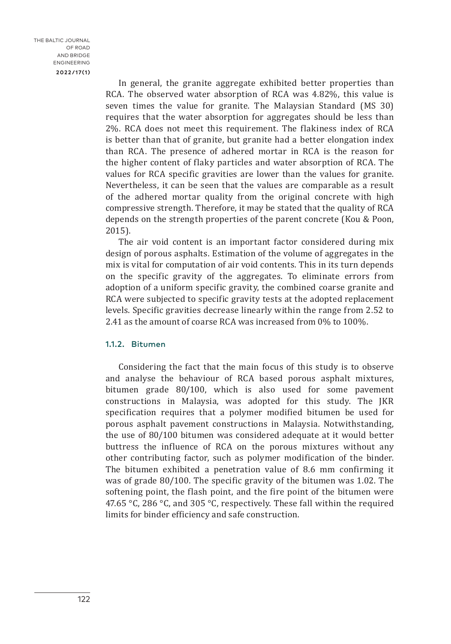In general, the granite aggregate exhibited better properties than RCA. The observed water absorption of RCA was 4.82%, this value is seven times the value for granite. The Malaysian Standard (MS 30) requires that the water absorption for aggregates should be less than 2%. RCA does not meet this requirement. The flakiness index of RCA is better than that of granite, but granite had a better elongation index than RCA. The presence of adhered mortar in RCA is the reason for the higher content of flaky particles and water absorption of RCA. The values for RCA specific gravities are lower than the values for granite. Nevertheless, it can be seen that the values are comparable as a result of the adhered mortar quality from the original concrete with high compressive strength. Therefore, it may be stated that the quality of RCA depends on the strength properties of the parent concrete (Kou & Poon, 2015).

The air void content is an important factor considered during mix design of porous asphalts. Estimation of the volume of aggregates in the mix is vital for computation of air void contents. This in its turn depends on the specific gravity of the aggregates. To eliminate errors from adoption of a uniform specific gravity, the combined coarse granite and RCA were subjected to specific gravity tests at the adopted replacement levels. Specific gravities decrease linearly within the range from 2.52 to 2.41 as the amount of coarse RCA was increased from 0% to 100%.

### 1.1.2. Bitumen

Considering the fact that the main focus of this study is to observe and analyse the behaviour of RCA based porous asphalt mixtures, bitumen grade 80/100, which is also used for some pavement constructions in Malaysia, was adopted for this study. The JKR specification requires that a polymer modified bitumen be used for porous asphalt pavement constructions in Malaysia. Notwithstanding, the use of 80/100 bitumen was considered adequate at it would better buttress the influence of RCA on the porous mixtures without any other contributing factor, such as polymer modification of the binder. The bitumen exhibited a penetration value of 8.6 mm confirming it was of grade 80/100. The specific gravity of the bitumen was 1.02. The softening point, the flash point, and the fire point of the bitumen were 47.65 °C, 286 °C, and 305 °C, respectively. These fall within the required limits for binder efficiency and safe construction.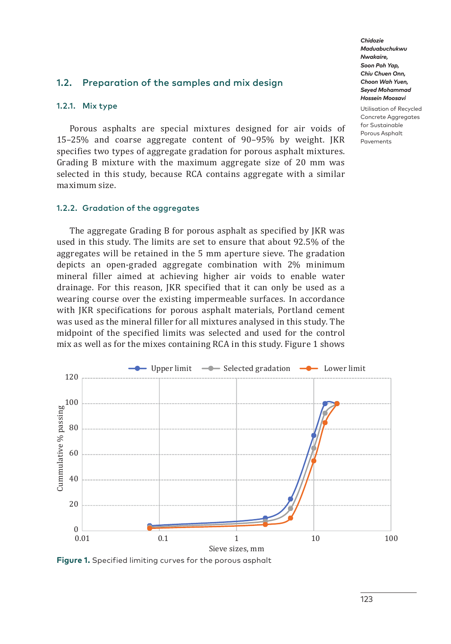### 1.2. Preparation of the samples and mix design

#### 1.2.1. Mix type

Porous asphalts are special mixtures designed for air voids of 15–25% and coarse aggregate content of 90–95% by weight. JKR specifies two types of aggregate gradation for porous asphalt mixtures. Grading B mixture with the maximum aggregate size of 20 mm was selected in this study, because RCA contains aggregate with a similar maximum size.

#### 1.2.2. Gradation of the aggregates

The aggregate Grading B for porous asphalt as specified by JKR was used in this study. The limits are set to ensure that about 92.5% of the aggregates will be retained in the 5 mm aperture sieve. The gradation depicts an open-graded aggregate combination with 2% minimum mineral filler aimed at achieving higher air voids to enable water drainage. For this reason, JKR specified that it can only be used as a wearing course over the existing impermeable surfaces. In accordance with JKR specifications for porous asphalt materials, Portland cement was used as the mineral filler for all mixtures analysed in this study. The midpoint of the specified limits was selected and used for the control mix as well as for the mixes containing RCA in this study. Figure 1 shows



**Figure 1.** Specified limiting curves for the porous asphalt

*Chidozie Maduabuchukwu Nwakaire, Soon Poh Yap, Chiu Chuen Onn, Choon Wah Yuen, Seyed Mohammad Hossein Moosavi*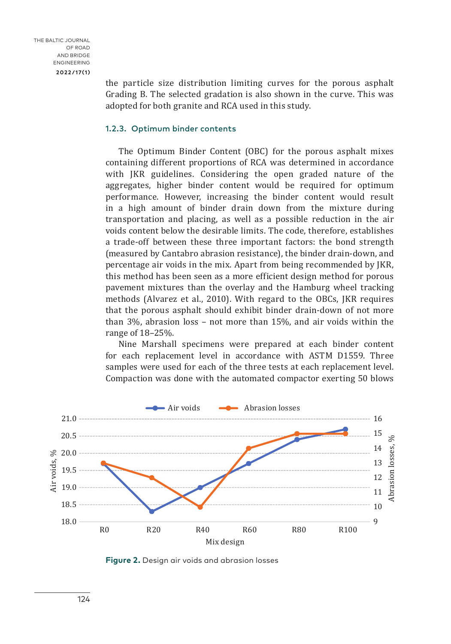the particle size distribution limiting curves for the porous asphalt Grading B. The selected gradation is also shown in the curve. This was adopted for both granite and RCA used in this study.

#### 1.2.3. Optimum binder contents

The Optimum Binder Content (OBC) for the porous asphalt mixes containing different proportions of RCA was determined in accordance with JKR guidelines. Considering the open graded nature of the aggregates, higher binder content would be required for optimum performance. However, increasing the binder content would result in a high amount of binder drain down from the mixture during transportation and placing, as well as a possible reduction in the air voids content below the desirable limits. The code, therefore, establishes a trade-off between these three important factors: the bond strength (measured by Cantabro abrasion resistance), the binder drain-down, and percentage air voids in the mix. Apart from being recommended by JKR, this method has been seen as a more efficient design method for porous pavement mixtures than the overlay and the Hamburg wheel tracking methods (Alvarez et al., 2010). With regard to the OBCs, JKR requires that the porous asphalt should exhibit binder drain-down of not more than 3%, abrasion loss – not more than 15%, and air voids within the range of 18–25%.

Nine Marshall specimens were prepared at each binder content for each replacement level in accordance with ASTM D1559. Three samples were used for each of the three tests at each replacement level. Compaction was done with the automated compactor exerting 50 blows



**Figure 2.** Design air voids and abrasion losses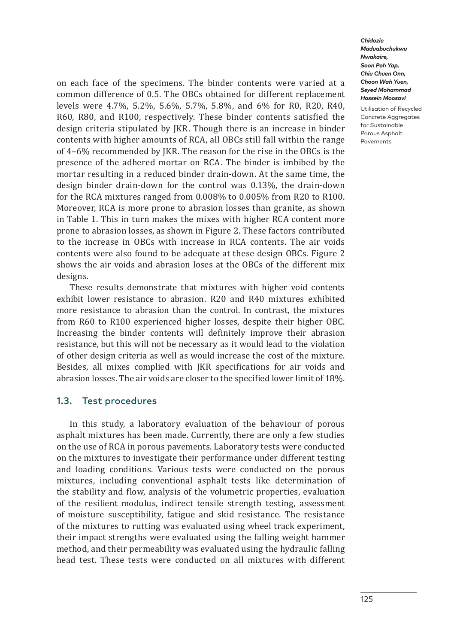on each face of the specimens. The binder contents were varied at a common difference of 0.5. The OBCs obtained for different replacement levels were 4.7%, 5.2%, 5.6%, 5.7%, 5.8%, and 6% for R0, R20, R40, R60, R80, and R100, respectively. These binder contents satisfied the design criteria stipulated by JKR. Though there is an increase in binder contents with higher amounts of RCA, all OBCs still fall within the range of 4–6% recommended by JKR. The reason for the rise in the OBCs is the presence of the adhered mortar on RCA. The binder is imbibed by the mortar resulting in a reduced binder drain-down. At the same time, the design binder drain-down for the control was 0.13%, the drain-down for the RCA mixtures ranged from 0.008% to 0.005% from R20 to R100. Moreover, RCA is more prone to abrasion losses than granite, as shown in Table 1. This in turn makes the mixes with higher RCA content more prone to abrasion losses, as shown in Figure 2. These factors contributed to the increase in OBCs with increase in RCA contents. The air voids contents were also found to be adequate at these design OBCs. Figure 2 shows the air voids and abrasion loses at the OBCs of the different mix designs.

These results demonstrate that mixtures with higher void contents exhibit lower resistance to abrasion. R20 and R40 mixtures exhibited more resistance to abrasion than the control. In contrast, the mixtures from R60 to R100 experienced higher losses, despite their higher OBC. Increasing the binder contents will definitely improve their abrasion resistance, but this will not be necessary as it would lead to the violation of other design criteria as well as would increase the cost of the mixture. Besides, all mixes complied with JKR specifications for air voids and abrasion losses. The air voids are closer to the specified lower limit of 18%.

### 1.3. Test procedures

In this study, a laboratory evaluation of the behaviour of porous asphalt mixtures has been made. Currently, there are only a few studies on the use of RCA in porous pavements. Laboratory tests were conducted on the mixtures to investigate their performance under different testing and loading conditions. Various tests were conducted on the porous mixtures, including conventional asphalt tests like determination of the stability and flow, analysis of the volumetric properties, evaluation of the resilient modulus, indirect tensile strength testing, assessment of moisture susceptibility, fatigue and skid resistance. The resistance of the mixtures to rutting was evaluated using wheel track experiment, their impact strengths were evaluated using the falling weight hammer method, and their permeability was evaluated using the hydraulic falling head test. These tests were conducted on all mixtures with different

*Chidozie Maduabuchukwu Nwakaire, Soon Poh Yap, Chiu Chuen Onn, Choon Wah Yuen, Seyed Mohammad Hossein Moosavi*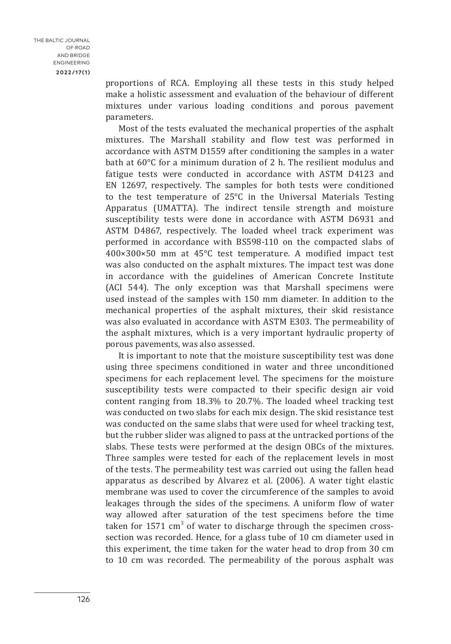proportions of RCA. Employing all these tests in this study helped make a holistic assessment and evaluation of the behaviour of different mixtures under various loading conditions and porous pavement parameters.

Most of the tests evaluated the mechanical properties of the asphalt mixtures. The Marshall stability and flow test was performed in accordance with ASTM D1559 after conditioning the samples in a water bath at 60°C for a minimum duration of 2 h. The resilient modulus and fatigue tests were conducted in accordance with ASTM D4123 and EN 12697, respectively. The samples for both tests were conditioned to the test temperature of 25°C in the Universal Materials Testing Apparatus (UMATTA). The indirect tensile strength and moisture susceptibility tests were done in accordance with ASTM D6931 and ASTM D4867, respectively. The loaded wheel track experiment was performed in accordance with BS598-110 on the compacted slabs of 400×300×50 mm at 45°C test temperature. A modified impact test was also conducted on the asphalt mixtures. The impact test was done in accordance with the guidelines of American Concrete Institute (ACI 544). The only exception was that Marshall specimens were used instead of the samples with 150 mm diameter. In addition to the mechanical properties of the asphalt mixtures, their skid resistance was also evaluated in accordance with ASTM E303. The permeability of the asphalt mixtures, which is a very important hydraulic property of porous pavements, was also assessed.

It is important to note that the moisture susceptibility test was done using three specimens conditioned in water and three unconditioned specimens for each replacement level. The specimens for the moisture susceptibility tests were compacted to their specific design air void content ranging from 18.3% to 20.7%. The loaded wheel tracking test was conducted on two slabs for each mix design. The skid resistance test was conducted on the same slabs that were used for wheel tracking test, but the rubber slider was aligned to pass at the untracked portions of the slabs. These tests were performed at the design OBCs of the mixtures. Three samples were tested for each of the replacement levels in most of the tests. The permeability test was carried out using the fallen head apparatus as described by Alvarez et al. (2006). A water tight elastic membrane was used to cover the circumference of the samples to avoid leakages through the sides of the specimens. A uniform flow of water way allowed after saturation of the test specimens before the time taken for  $1571 \text{ cm}^3$  of water to discharge through the specimen crosssection was recorded. Hence, for a glass tube of 10 cm diameter used in this experiment, the time taken for the water head to drop from 30 cm to 10 cm was recorded. The permeability of the porous asphalt was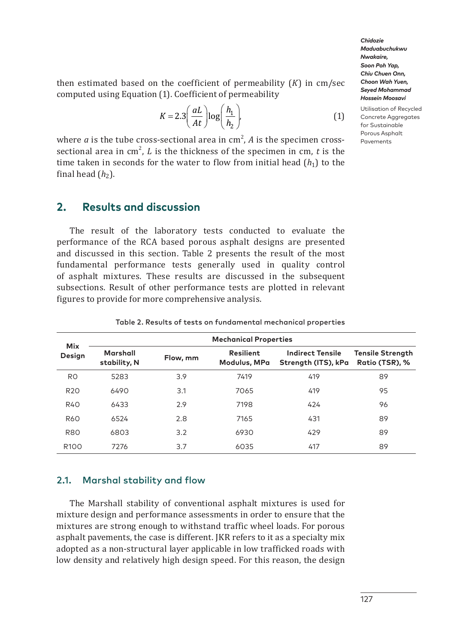Utilisation of Recycled Concrete Aggregates for Sustainable Porous Asphalt Pavements

then estimated based on the coefficient of permeability (*K*) in cm/sec computed using Equation (1). Coefficient of permeability

$$
K = 2.3 \left(\frac{aL}{At}\right) \log \left(\frac{h_1}{h_2}\right),\tag{1}
$$

where  $a$  is the tube cross-sectional area in  $\text{cm}^2$ ,  $A$  is the specimen crosssectional area in  $\text{cm}^2$ , *L* is the thickness of the specimen in cm, *t* is the time taken in seconds for the water to flow from initial head  $(h_1)$  to the final head  $(h_2)$ .

### **2. Results and discussion**

The result of the laboratory tests conducted to evaluate the performance of the RCA based porous asphalt designs are presented and discussed in this section. Table 2 presents the result of the most fundamental performance tests generally used in quality control of asphalt mixtures. These results are discussed in the subsequent subsections. Result of other performance tests are plotted in relevant figures to provide for more comprehensive analysis.

| <b>Mix</b><br>Design | <b>Mechanical Properties</b> |          |                                  |                                                |                                           |  |  |
|----------------------|------------------------------|----------|----------------------------------|------------------------------------------------|-------------------------------------------|--|--|
|                      | Marshall<br>stability, N     | Flow, mm | <b>Resilient</b><br>Modulus, MPa | <b>Indirect Tensile</b><br>Strength (ITS), kPa | <b>Tensile Strength</b><br>Ratio (TSR), % |  |  |
| R <sub>0</sub>       | 5283                         | 3.9      | 7419                             | 419                                            | 89                                        |  |  |
| R <sub>20</sub>      | 6490                         | 3.1      | 7065                             | 419                                            | 95                                        |  |  |
| <b>R40</b>           | 6433                         | 2.9      | 7198                             | 424                                            | 96                                        |  |  |
| <b>R60</b>           | 6524                         | 2.8      | 7165                             | 431                                            | 89                                        |  |  |
| <b>R80</b>           | 6803                         | 3.2      | 6930                             | 429                                            | 89                                        |  |  |
| R <sub>100</sub>     | 7276                         | 3.7      | 6035                             | 417                                            | 89                                        |  |  |

Table 2. Results of tests on fundamental mechanical properties

### 2.1. Marshal stability and flow

The Marshall stability of conventional asphalt mixtures is used for mixture design and performance assessments in order to ensure that the mixtures are strong enough to withstand traffic wheel loads. For porous asphalt pavements, the case is different. JKR refers to it as a specialty mix adopted as a non-structural layer applicable in low trafficked roads with low density and relatively high design speed. For this reason, the design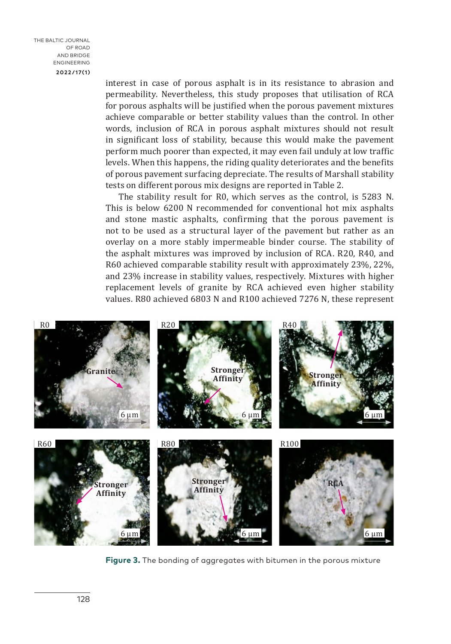THE BALTIC JOURNAL OF ROAD AND BRIDGE ENGINEERING **2022/17(1)**

interest in case of porous asphalt is in its resistance to abrasion and permeability. Nevertheless, this study proposes that utilisation of RCA for porous asphalts will be justified when the porous pavement mixtures achieve comparable or better stability values than the control. In other words, inclusion of RCA in porous asphalt mixtures should not result in significant loss of stability, because this would make the pavement perform much poorer than expected, it may even fail unduly at low traffic levels. When this happens, the riding quality deteriorates and the benefits of porous pavement surfacing depreciate. The results of Marshall stability tests on different porous mix designs are reported in Table 2.

The stability result for R0, which serves as the control, is 5283 N. This is below 6200 N recommended for conventional hot mix asphalts and stone mastic asphalts, confirming that the porous pavement is not to be used as a structural layer of the pavement but rather as an overlay on a more stably impermeable binder course. The stability of the asphalt mixtures was improved by inclusion of RCA. R20, R40, and R60 achieved comparable stability result with approximately 23%, 22%, and 23% increase in stability values, respectively. Mixtures with higher and 23% increase in stability values, respectively. Mixtures with higher replacement levels of granite by RCA achieved even higher stability values. R80 achieved 6803 N and R100 achieved 7276 N, these represent we construct the studies on position  $\mathbf{Q}_1$  and  $\mathbf{Q}_2$  and  $\mathbf{Q}_3$  and  $\mathbf{Q}_4$  are performances. The  $\mathbf{Q}_1$  stability as a performance of  $\mathbf{Q}_2$  and  $\mathbf{Q}_3$  are performance of  $\mathbf{Q}_3$  and  $\mathbf{Q}_4$  are the stability vesure for N<sub>0</sub>, which serves as the control, is  $3203 \text{ N}$ . and 25% increase in stability values, respectively. This responsibility of the mixtures of the mixtures. Figure 3 shows the bit up absorbed the bit up to strong the bit up to strong the compressive term in provided the compressive term in provided to strong the compressive term in provided to strong the compressive term in th



**Figure 3.** The bonding of aggregates with bitumen in the porous mixture **Figure 3**. The bonding of aggregates with bitumen in the porous mixture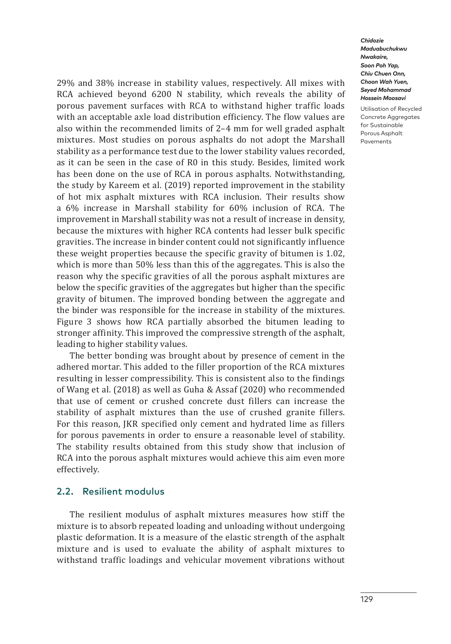29% and 38% increase in stability values, respectively. All mixes with RCA achieved beyond 6200 N stability, which reveals the ability of porous pavement surfaces with RCA to withstand higher traffic loads with an acceptable axle load distribution efficiency. The flow values are also within the recommended limits of 2–4 mm for well graded asphalt mixtures. Most studies on porous asphalts do not adopt the Marshall stability as a performance test due to the lower stability values recorded, as it can be seen in the case of R0 in this study. Besides, limited work has been done on the use of RCA in porous asphalts. Notwithstanding, the study by Kareem et al. (2019) reported improvement in the stability of hot mix asphalt mixtures with RCA inclusion. Their results show a 6% increase in Marshall stability for 60% inclusion of RCA. The improvement in Marshall stability was not a result of increase in density, because the mixtures with higher RCA contents had lesser bulk specific gravities. The increase in binder content could not significantly influence these weight properties because the specific gravity of bitumen is 1.02, which is more than 50% less than this of the aggregates. This is also the reason why the specific gravities of all the porous asphalt mixtures are below the specific gravities of the aggregates but higher than the specific gravity of bitumen. The improved bonding between the aggregate and the binder was responsible for the increase in stability of the mixtures. Figure 3 shows how RCA partially absorbed the bitumen leading to stronger affinity. This improved the compressive strength of the asphalt, leading to higher stability values.

The better bonding was brought about by presence of cement in the adhered mortar. This added to the filler proportion of the RCA mixtures resulting in lesser compressibility. This is consistent also to the findings of Wang et al. (2018) as well as Guha & Assaf (2020) who recommended that use of cement or crushed concrete dust fillers can increase the stability of asphalt mixtures than the use of crushed granite fillers. For this reason, JKR specified only cement and hydrated lime as fillers for porous pavements in order to ensure a reasonable level of stability. The stability results obtained from this study show that inclusion of RCA into the porous asphalt mixtures would achieve this aim even more effectively.

### 2.2. Resilient modulus

The resilient modulus of asphalt mixtures measures how stiff the mixture is to absorb repeated loading and unloading without undergoing plastic deformation. It is a measure of the elastic strength of the asphalt mixture and is used to evaluate the ability of asphalt mixtures to withstand traffic loadings and vehicular movement vibrations without

*Chidozie Maduabuchukwu Nwakaire, Soon Poh Yap, Chiu Chuen Onn, Choon Wah Yuen, Seyed Mohammad Hossein Moosavi*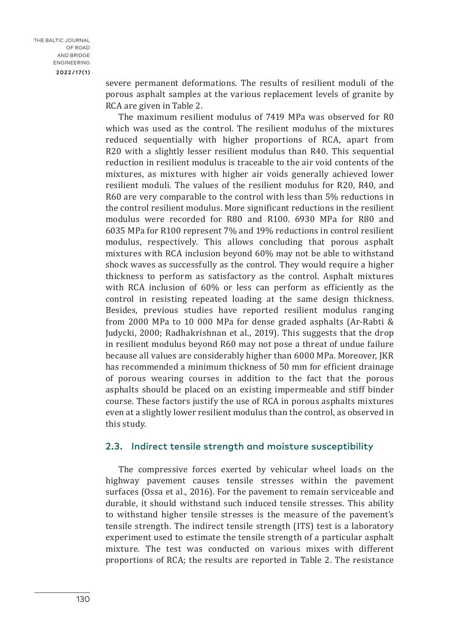severe permanent deformations. The results of resilient moduli of the porous asphalt samples at the various replacement levels of granite by RCA are given in Table 2.

The maximum resilient modulus of 7419 MPa was observed for R0 which was used as the control. The resilient modulus of the mixtures reduced sequentially with higher proportions of RCA, apart from R20 with a slightly lesser resilient modulus than R40. This sequential reduction in resilient modulus is traceable to the air void contents of the mixtures, as mixtures with higher air voids generally achieved lower resilient moduli. The values of the resilient modulus for R20, R40, and R60 are very comparable to the control with less than 5% reductions in the control resilient modulus. More significant reductions in the resilient modulus were recorded for R80 and R100. 6930 MPa for R80 and 6035 MPa for R100 represent 7% and 19% reductions in control resilient modulus, respectively. This allows concluding that porous asphalt mixtures with RCA inclusion beyond 60% may not be able to withstand shock waves as successfully as the control. They would require a higher thickness to perform as satisfactory as the control. Asphalt mixtures with RCA inclusion of 60% or less can perform as efficiently as the control in resisting repeated loading at the same design thickness. Besides, previous studies have reported resilient modulus ranging from 2000 MPa to 10 000 MPa for dense graded asphalts (Ar-Rabti & Judycki, 2000; Radhakrishnan et al., 2019). This suggests that the drop in resilient modulus beyond R60 may not pose a threat of undue failure because all values are considerably higher than 6000 MPa. Moreover, JKR has recommended a minimum thickness of 50 mm for efficient drainage of porous wearing courses in addition to the fact that the porous asphalts should be placed on an existing impermeable and stiff binder course. These factors justify the use of RCA in porous asphalts mixtures even at a slightly lower resilient modulus than the control, as observed in this study.

### 2.3. Indirect tensile strength and moisture susceptibility

The compressive forces exerted by vehicular wheel loads on the highway pavement causes tensile stresses within the pavement surfaces (Ossa et al., 2016). For the pavement to remain serviceable and durable, it should withstand such induced tensile stresses. This ability to withstand higher tensile stresses is the measure of the pavement's tensile strength. The indirect tensile strength (ITS) test is a laboratory experiment used to estimate the tensile strength of a particular asphalt mixture. The test was conducted on various mixes with different proportions of RCA; the results are reported in Table 2. The resistance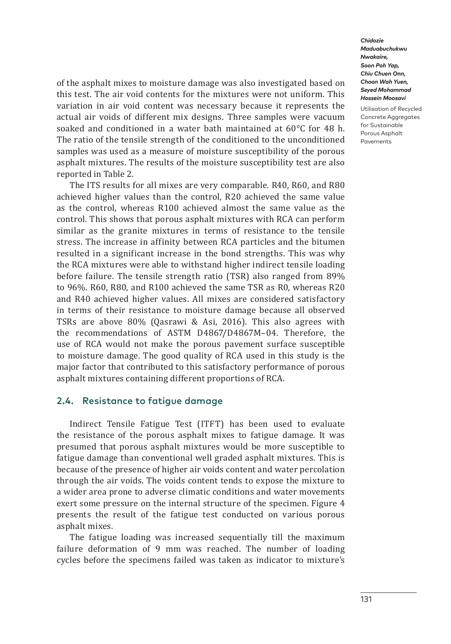of the asphalt mixes to moisture damage was also investigated based on this test. The air void contents for the mixtures were not uniform. This variation in air void content was necessary because it represents the actual air voids of different mix designs. Three samples were vacuum soaked and conditioned in a water bath maintained at 60°C for 48 h. The ratio of the tensile strength of the conditioned to the unconditioned samples was used as a measure of moisture susceptibility of the porous asphalt mixtures. The results of the moisture susceptibility test are also reported in Table 2.

The ITS results for all mixes are very comparable. R40, R60, and R80 achieved higher values than the control, R20 achieved the same value as the control, whereas R100 achieved almost the same value as the control. This shows that porous asphalt mixtures with RCA can perform similar as the granite mixtures in terms of resistance to the tensile stress. The increase in affinity between RCA particles and the bitumen resulted in a significant increase in the bond strengths. This was why the RCA mixtures were able to withstand higher indirect tensile loading before failure. The tensile strength ratio (TSR) also ranged from 89% to 96%. R60, R80, and R100 achieved the same TSR as R0, whereas R20 and R40 achieved higher values. All mixes are considered satisfactory in terms of their resistance to moisture damage because all observed TSRs are above 80% (Qasrawi & Asi, 2016). This also agrees with the recommendations of ASTM D4867/D4867M–04. Therefore, the use of RCA would not make the porous pavement surface susceptible to moisture damage. The good quality of RCA used in this study is the major factor that contributed to this satisfactory performance of porous asphalt mixtures containing different proportions of RCA.

### 2.4. Resistance to fatigue damage

Indirect Tensile Fatigue Test (ITFT) has been used to evaluate the resistance of the porous asphalt mixes to fatigue damage. It was presumed that porous asphalt mixtures would be more susceptible to fatigue damage than conventional well graded asphalt mixtures. This is because of the presence of higher air voids content and water percolation through the air voids. The voids content tends to expose the mixture to a wider area prone to adverse climatic conditions and water movements exert some pressure on the internal structure of the specimen. Figure 4 presents the result of the fatigue test conducted on various porous asphalt mixes.

The fatigue loading was increased sequentially till the maximum failure deformation of 9 mm was reached. The number of loading cycles before the specimens failed was taken as indicator to mixture's

*Chidozie Maduabuchukwu Nwakaire, Soon Poh Yap, Chiu Chuen Onn, Choon Wah Yuen, Seyed Mohammad Hossein Moosavi*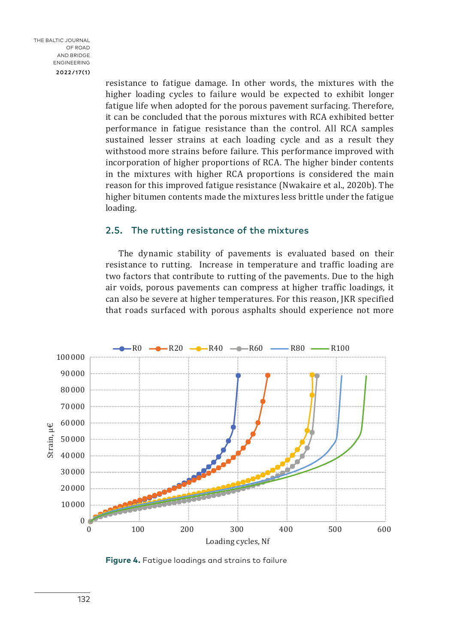resistance to fatigue damage. In other words, the mixtures with the higher loading cycles to failure would be expected to exhibit longer fatigue life when adopted for the porous pavement surfacing. Therefore, it can be concluded that the porous mixtures with RCA exhibited better performance in fatigue resistance than the control. All RCA samples sustained lesser strains at each loading cycle and as a result they withstood more strains before failure. This performance improved with incorporation of higher proportions of RCA. The higher binder contents in the mixtures with higher RCA proportions is considered the main reason for this improved fatigue resistance (Nwakaire et al., 2020b). The higher bitumen contents made the mixtures less brittle under the fatigue loading.

### 2.5. The rutting resistance of the mixtures

The dynamic stability of pavements is evaluated based on their resistance to rutting. Increase in temperature and traffic loading are two factors that contribute to rutting of the pavements. Due to the high air voids, porous pavements can compress at higher traffic loadings, it can also be severe at higher temperatures. For this reason, JKR specified that roads surfaced with porous asphalts should experience not more



**Figure 4.** Fatigue loadings and strains to failure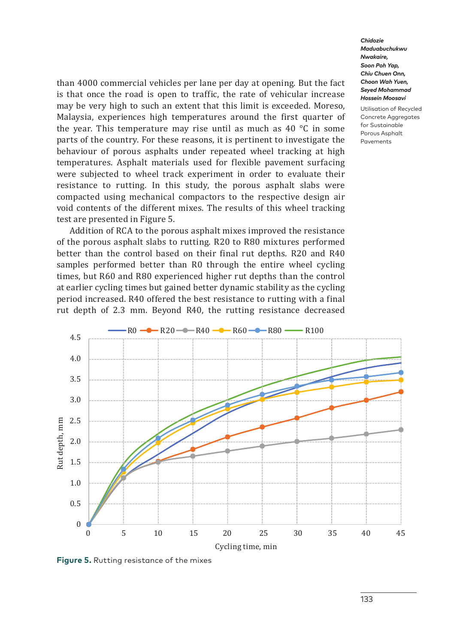than 4000 commercial vehicles per lane per day at opening. But the fact is that once the road is open to traffic, the rate of vehicular increase may be very high to such an extent that this limit is exceeded. Moreso, Malaysia, experiences high temperatures around the first quarter of the year. This temperature may rise until as much as 40 °C in some parts of the country. For these reasons, it is pertinent to investigate the behaviour of porous asphalts under repeated wheel tracking at high temperatures. Asphalt materials used for flexible pavement surfacing were subjected to wheel track experiment in order to evaluate their resistance to rutting. In this study, the porous asphalt slabs were compacted using mechanical compactors to the respective design air void contents of the different mixes. The results of this wheel tracking test are presented in Figure 5.

Addition of RCA to the porous asphalt mixes improved the resistance of the porous asphalt slabs to rutting. R20 to R80 mixtures performed better than the control based on their final rut depths. R20 and R40 samples performed better than R0 through the entire wheel cycling times, but R60 and R80 experienced higher rut depths than the control at earlier cycling times but gained better dynamic stability as the cycling period increased. R40 offered the best resistance to rutting with a final rut depth of 2.3 mm. Beyond R40, the rutting resistance decreased



**Figure 5.** Rutting resistance of the mixes

*Chidozie Maduabuchukwu Nwakaire, Soon Poh Yap, Chiu Chuen Onn, Choon Wah Yuen, Seyed Mohammad Hossein Moosavi*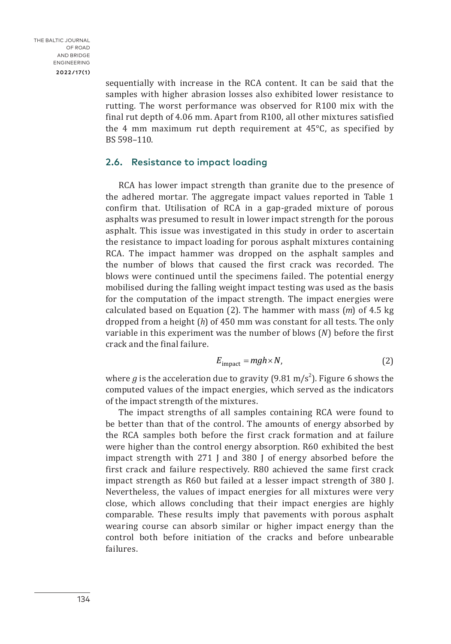sequentially with increase in the RCA content. It can be said that the samples with higher abrasion losses also exhibited lower resistance to rutting. The worst performance was observed for R100 mix with the final rut depth of 4.06 mm. Apart from R100, all other mixtures satisfied the 4 mm maximum rut depth requirement at 45°C, as specified by BS 598–110.

### 2.6. Resistance to impact loading

RCA has lower impact strength than granite due to the presence of the adhered mortar. The aggregate impact values reported in Table 1 confirm that. Utilisation of RCA in a gap-graded mixture of porous asphalts was presumed to result in lower impact strength for the porous asphalt. This issue was investigated in this study in order to ascertain the resistance to impact loading for porous asphalt mixtures containing RCA. The impact hammer was dropped on the asphalt samples and the number of blows that caused the first crack was recorded. The blows were continued until the specimens failed. The potential energy mobilised during the falling weight impact testing was used as the basis for the computation of the impact strength. The impact energies were calculated based on Equation (2). The hammer with mass (*m*) of 4.5 kg dropped from a height (*h*) of 450 mm was constant for all tests. The only variable in this experiment was the number of blows (*N*) before the first crack and the final failure.

$$
E_{\text{impact}} = mgh \times N,\tag{2}
$$

where  $g$  is the acceleration due to gravity (9.81 m/s<sup>2</sup>). Figure 6 shows the computed values of the impact energies, which served as the indicators of the impact strength of the mixtures.

The impact strengths of all samples containing RCA were found to be better than that of the control. The amounts of energy absorbed by the RCA samples both before the first crack formation and at failure were higher than the control energy absorption. R60 exhibited the best impact strength with 271 J and 380 J of energy absorbed before the first crack and failure respectively. R80 achieved the same first crack impact strength as R60 but failed at a lesser impact strength of 380 J. Nevertheless, the values of impact energies for all mixtures were very close, which allows concluding that their impact energies are highly comparable. These results imply that pavements with porous asphalt wearing course can absorb similar or higher impact energy than the control both before initiation of the cracks and before unbearable failures.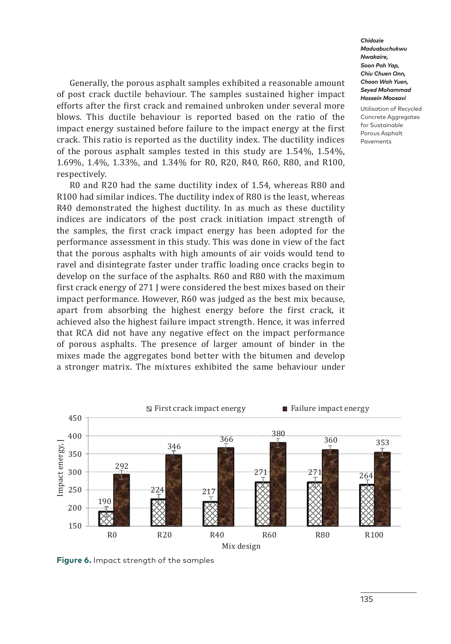Generally, the porous asphalt samples exhibited a reasonable amount of post crack ductile behaviour. The samples sustained higher impact efforts after the first crack and remained unbroken under several more blows. This ductile behaviour is reported based on the ratio of the impact energy sustained before failure to the impact energy at the first crack. This ratio is reported as the ductility index. The ductility indices of the porous asphalt samples tested in this study are 1.54%, 1.54%, 1.69%, 1.4%, 1.33%, and 1.34% for R0, R20, R40, R60, R80, and R100, respectively.

R0 and R20 had the same ductility index of 1.54, whereas R80 and R100 had similar indices. The ductility index of R80 is the least, whereas R40 demonstrated the highest ductility. In as much as these ductility indices are indicators of the post crack initiation impact strength of the samples, the first crack impact energy has been adopted for the performance assessment in this study. This was done in view of the fact that the porous asphalts with high amounts of air voids would tend to ravel and disintegrate faster under traffic loading once cracks begin to develop on the surface of the asphalts. R60 and R80 with the maximum first crack energy of 271 J were considered the best mixes based on their impact performance. However, R60 was judged as the best mix because, apart from absorbing the highest energy before the first crack, it achieved also the highest failure impact strength. Hence, it was inferred that RCA did not have any negative effect on the impact performance of porous asphalts. The presence of larger amount of binder in the mixes made the aggregates bond better with the bitumen and develop a stronger matrix. The mixtures exhibited the same behaviour under



**Figure 6.** Impact strength of the samples

*Chidozie Maduabuchukwu Nwakaire, Soon Poh Yap, Chiu Chuen Onn, Choon Wah Yuen, Seyed Mohammad Hossein Moosavi*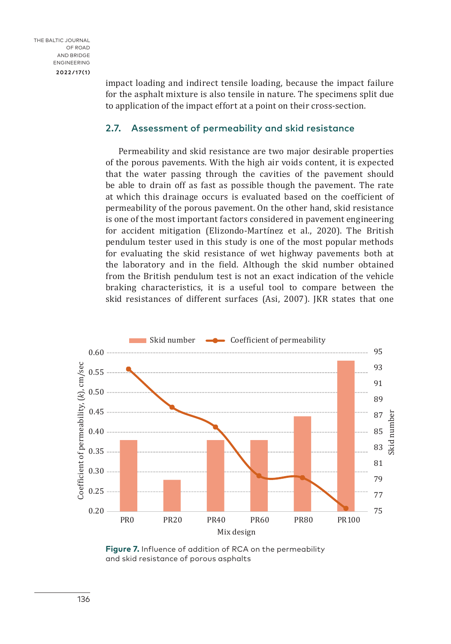impact loading and indirect tensile loading, because the impact failure for the asphalt mixture is also tensile in nature. The specimens split due to application of the impact effort at a point on their cross-section.

### 2.7. Assessment of permeability and skid resistance

Permeability and skid resistance are two major desirable properties of the porous pavements. With the high air voids content, it is expected that the water passing through the cavities of the pavement should be able to drain off as fast as possible though the pavement. The rate at which this drainage occurs is evaluated based on the coefficient of permeability of the porous pavement. On the other hand, skid resistance is one of the most important factors considered in pavement engineering for accident mitigation (Elizondo-Martínez et al., 2020). The British pendulum tester used in this study is one of the most popular methods for evaluating the skid resistance of wet highway pavements both at the laboratory and in the field. Although the skid number obtained from the British pendulum test is not an exact indication of the vehicle braking characteristics, it is a useful tool to compare between the skid resistances of different surfaces (Asi, 2007). JKR states that one



**Figure 7.** Influence of addition of RCA on the permeability and skid resistance of porous asphalts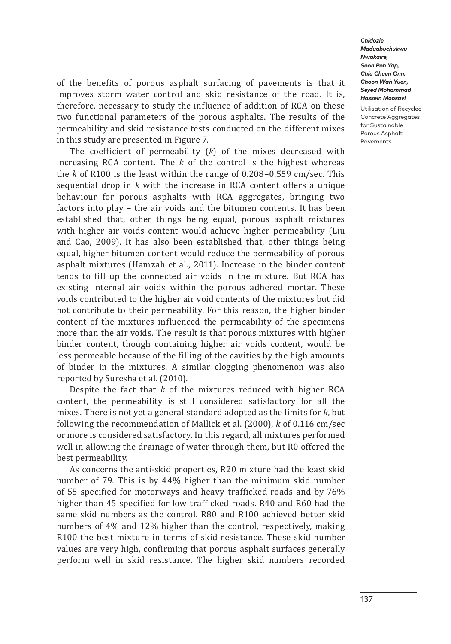Utilisation of Recycled Concrete Aggregates for Sustainable Porous Asphalt Pavements

of the benefits of porous asphalt surfacing of pavements is that it improves storm water control and skid resistance of the road. It is, therefore, necessary to study the influence of addition of RCA on these two functional parameters of the porous asphalts. The results of the permeability and skid resistance tests conducted on the different mixes in this study are presented in Figure 7.

The coefficient of permeability (*k*) of the mixes decreased with increasing RCA content. The *k* of the control is the highest whereas the *k* of R100 is the least within the range of 0.208–0.559 cm/sec. This sequential drop in *k* with the increase in RCA content offers a unique behaviour for porous asphalts with RCA aggregates, bringing two factors into play – the air voids and the bitumen contents. It has been established that, other things being equal, porous asphalt mixtures with higher air voids content would achieve higher permeability (Liu and Cao, 2009). It has also been established that, other things being equal, higher bitumen content would reduce the permeability of porous asphalt mixtures (Hamzah et al., 2011). Increase in the binder content tends to fill up the connected air voids in the mixture. But RCA has existing internal air voids within the porous adhered mortar. These voids contributed to the higher air void contents of the mixtures but did not contribute to their permeability. For this reason, the higher binder content of the mixtures influenced the permeability of the specimens more than the air voids. The result is that porous mixtures with higher binder content, though containing higher air voids content, would be less permeable because of the filling of the cavities by the high amounts of binder in the mixtures. A similar clogging phenomenon was also reported by Suresha et al. (2010).

Despite the fact that *k* of the mixtures reduced with higher RCA content, the permeability is still considered satisfactory for all the mixes. There is not yet a general standard adopted as the limits for *k*, but following the recommendation of Mallick et al. (2000), *k* of 0.116 cm/sec or more is considered satisfactory. In this regard, all mixtures performed well in allowing the drainage of water through them, but R0 offered the best permeability.

As concerns the anti-skid properties, R20 mixture had the least skid number of 79. This is by 44% higher than the minimum skid number of 55 specified for motorways and heavy trafficked roads and by 76% higher than 45 specified for low trafficked roads. R40 and R60 had the same skid numbers as the control. R80 and R100 achieved better skid numbers of 4% and 12% higher than the control, respectively, making R100 the best mixture in terms of skid resistance. These skid number values are very high, confirming that porous asphalt surfaces generally perform well in skid resistance. The higher skid numbers recorded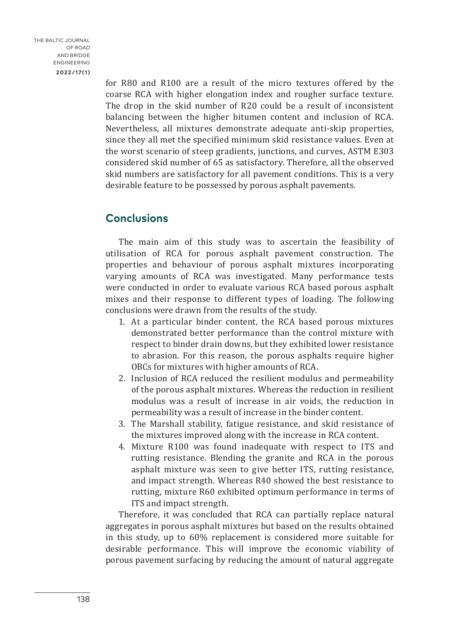for R80 and R100 are a result of the micro textures offered by the coarse RCA with higher elongation index and rougher surface texture. The drop in the skid number of R20 could be a result of inconsistent balancing between the higher bitumen content and inclusion of RCA. Nevertheless, all mixtures demonstrate adequate anti-skip properties, since they all met the specified minimum skid resistance values. Even at the worst scenario of steep gradients, junctions, and curves, ASTM E303 considered skid number of 65 as satisfactory. Therefore, all the observed skid numbers are satisfactory for all pavement conditions. This is a very desirable feature to be possessed by porous asphalt pavements.

### **Conclusions**

The main aim of this study was to ascertain the feasibility of utilisation of RCA for porous asphalt pavement construction. The properties and behaviour of porous asphalt mixtures incorporating varying amounts of RCA was investigated. Many performance tests were conducted in order to evaluate various RCA based porous asphalt mixes and their response to different types of loading. The following conclusions were drawn from the results of the study.

- 1. At a particular binder content, the RCA based porous mixtures demonstrated better performance than the control mixture with respect to binder drain downs, but they exhibited lower resistance to abrasion. For this reason, the porous asphalts require higher OBCs for mixtures with higher amounts of RCA.
- 2. Inclusion of RCA reduced the resilient modulus and permeability of the porous asphalt mixtures. Whereas the reduction in resilient modulus was a result of increase in air voids, the reduction in permeability was a result of increase in the binder content.
- 3. The Marshall stability, fatigue resistance, and skid resistance of the mixtures improved along with the increase in RCA content.
- 4. Mixture R100 was found inadequate with respect to ITS and rutting resistance. Blending the granite and RCA in the porous asphalt mixture was seen to give better ITS, rutting resistance, and impact strength. Whereas R40 showed the best resistance to rutting, mixture R60 exhibited optimum performance in terms of ITS and impact strength.

Therefore, it was concluded that RCA can partially replace natural aggregates in porous asphalt mixtures but based on the results obtained in this study, up to 60% replacement is considered more suitable for desirable performance. This will improve the economic viability of porous pavement surfacing by reducing the amount of natural aggregate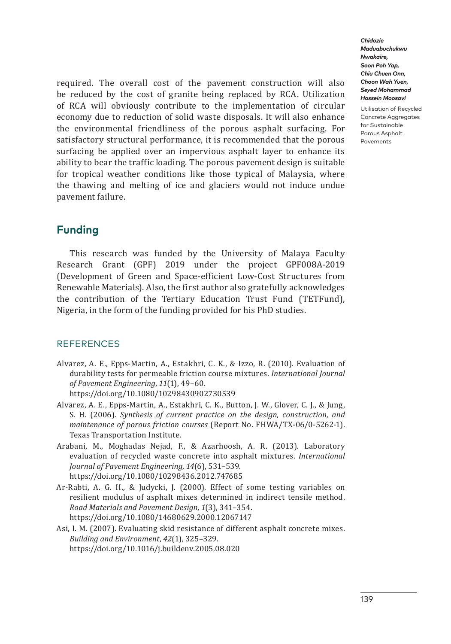required. The overall cost of the pavement construction will also be reduced by the cost of granite being replaced by RCA. Utilization of RCA will obviously contribute to the implementation of circular economy due to reduction of solid waste disposals. It will also enhance the environmental friendliness of the porous asphalt surfacing. For satisfactory structural performance, it is recommended that the porous surfacing be applied over an impervious asphalt layer to enhance its ability to bear the traffic loading. The porous pavement design is suitable for tropical weather conditions like those typical of Malaysia, where the thawing and melting of ice and glaciers would not induce undue pavement failure.

### **Funding**

This research was funded by the University of Malaya Faculty Research Grant (GPF) 2019 under the project GPF008A-2019 (Development of Green and Space-efficient Low-Cost Structures from Renewable Materials). Also, the first author also gratefully acknowledges the contribution of the Tertiary Education Trust Fund (TETFund), Nigeria, in the form of the funding provided for his PhD studies.

### **REFERENCES**

Alvarez, A. E., Epps-Martin, A., Estakhri, C. K., & Izzo, R. (2010). Evaluation of durability tests for permeable friction course mixtures. *International Journal of Pavement Engineering*, *11*(1), 49–60.

<https://doi.org/10.1080/10298430902730539>

- Alvarez, A. E., Epps-Martin, A., Estakhri, C. K., Button, J. W., Glover, C. J., & Jung, S. H. (2006). *Synthesis of current practice on the design, construction, and maintenance of porous friction courses* (Report No. FHWA/TX-06/0-5262-1). Texas Transportation Institute.
- Arabani, M., Moghadas Nejad, F., & Azarhoosh, A. R. (2013). Laboratory evaluation of recycled waste concrete into asphalt mixtures. *International Journal of Pavement Engineering*, *14*(6), 531–539. <https://doi.org/10.1080/10298436.2012.747685>
- Ar-Rabti, A. G. H., & Judycki, J. (2000). Effect of some testing variables on resilient modulus of asphalt mixes determined in indirect tensile method. *Road Materials and Pavement Design*, *1*(3), 341–354. <https://doi.org/10.1080/14680629.2000.12067147>
- Asi, I. M. (2007). Evaluating skid resistance of different asphalt concrete mixes. *Building and Environment*, *42*(1), 325–329. <https://doi.org/10.1016/j.buildenv.2005.08.020>

*Chidozie Maduabuchukwu Nwakaire, Soon Poh Yap, Chiu Chuen Onn, Choon Wah Yuen, Seyed Mohammad Hossein Moosavi*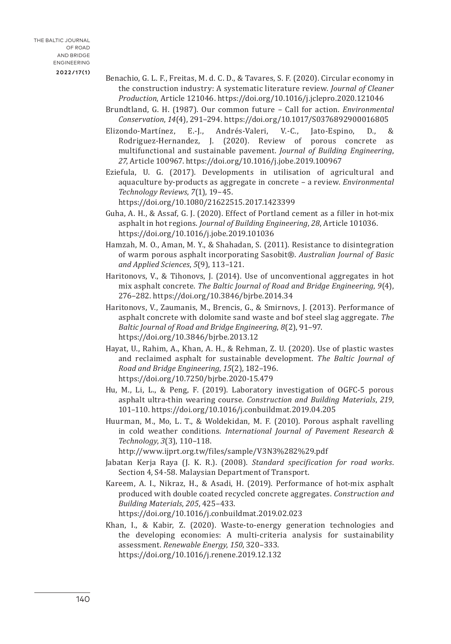- Benachio, G. L. F., Freitas, M. d. C. D., & Tavares, S. F. (2020). Circular economy in the construction industry: A systematic literature review. *Journal of Cleaner Production*, Article 121046. <https://doi.org/10.1016/j.jclepro.2020.121046>
- Brundtland, G. H. (1987). Our common future Call for action. *Environmental Conservation*, *14*(4), 291–294. <https://doi.org/10.1017/S0376892900016805>
- Elizondo-Martínez, E.-J., Andrés-Valeri, V.-C., Jato-Espino, D., & Rodriguez-Hernandez, J. (2020). Review of porous concrete as multifunctional and sustainable pavement. *Journal of Building Engineering*, *27*, Article 100967. <https://doi.org/10.1016/j.jobe.2019.100967>
- Eziefula, U. G. (2017). Developments in utilisation of agricultural and aquaculture by-products as aggregate in concrete – a review. *Environmental Technology Reviews*, *7*(1), 19–45. <https://doi.org/10.1080/21622515.2017.1423399>
- Guha, A. H., & Assaf, G. J. (2020). Effect of Portland cement as a filler in hot-mix asphalt in hot regions. *Journal of Building Engineering*, *28*, Article 101036. <https://doi.org/10.1016/j.jobe.2019.101036>
- Hamzah, M. O., Aman, M. Y., & Shahadan, S. (2011). Resistance to disintegration of warm porous asphalt incorporating Sasobit®. *Australian Journal of Basic and Applied Sciences*, *5*(9), 113–121.
- Haritonovs, V., & Tihonovs, J. (2014). Use of unconventional aggregates in hot mix asphalt concrete. *The Baltic Journal of Road and Bridge Engineering*, *9*(4), 276–282. <https://doi.org/10.3846/bjrbe.2014.34>
- Haritonovs, V., Zaumanis, M., Brencis, G., & Smirnovs, J. (2013). Performance of asphalt concrete with dolomite sand waste and bof steel slag aggregate. *The Baltic Journal of Road and Bridge Engineering*, *8*(2), 91–97. <https://doi.org/10.3846/bjrbe.2013.12>
- Hayat, U., Rahim, A., Khan, A. H., & Rehman, Z. U. (2020). Use of plastic wastes and reclaimed asphalt for sustainable development. *The Baltic Journal of Road and Bridge Engineering*, *15*(2), 182–196. <https://doi.org/10.7250/bjrbe.2020-15.479>
- Hu, M., Li, L., & Peng, F. (2019). Laboratory investigation of OGFC-5 porous asphalt ultra-thin wearing course. *Construction and Building Materials*, *219*, 101–110.<https://doi.org/10.1016/j.conbuildmat.2019.04.205>
- Huurman, M., Mo, L. T., & Woldekidan, M. F. (2010). Porous asphalt ravelling in cold weather conditions. *International Journal of Pavement Research & Technology*, *3*(3), 110–118.

http://www.ijprt.org.tw/files/sample/V3N3%282%29.pdf

- Jabatan Kerja Raya (J. K. R.). (2008). *Standard specification for road works*. Section 4, S4-58. Malaysian Department of Transport.
- Kareem, A. I., Nikraz, H., & Asadi, H. (2019). Performance of hot-mix asphalt produced with double coated recycled concrete aggregates. *Construction and Building Materials*, *205*, 425–433. <https://doi.org/10.1016/j.conbuildmat.2019.02.023>

Khan, I., & Kabir, Z. (2020). Waste-to-energy generation technologies and the developing economies: A multi-criteria analysis for sustainability assessment. *Renewable Energy*, *150*, 320–333. <https://doi.org/10.1016/j.renene.2019.12.132>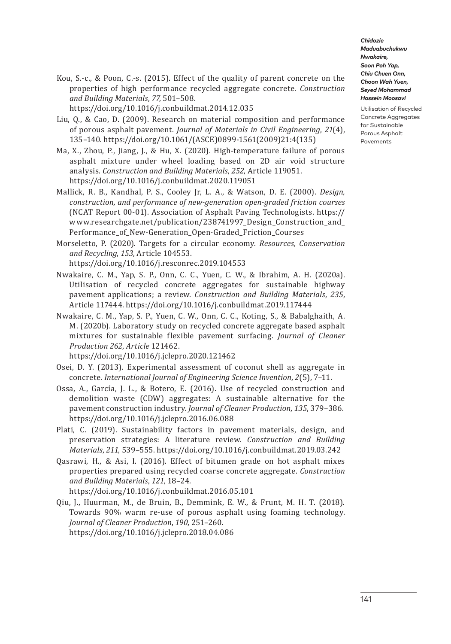Utilisation of Recycled Concrete Aggregates for Sustainable Porous Asphalt Pavements

Kou, S.-c., & Poon, C.-s. (2015). Effect of the quality of parent concrete on the properties of high performance recycled aggregate concrete. *Construction and Building Materials*, *77*, 501–508.

<https://doi.org/10.1016/j.conbuildmat.2014.12.035>

- Liu, Q., & Cao, D. (2009). Research on material composition and performance of porous asphalt pavement. *Journal of Materials in Civil Engineering*, *21*(4), 135–140. [https://doi.org/10.1061/\(ASCE\)0899-1561\(2009\)21:4\(135\)](https://doi.org/10.1061/(ASCE)0899-1561(2009)21:4(135))
- Ma, X., Zhou, P., Jiang, J., & Hu, X. (2020). High-temperature failure of porous asphalt mixture under wheel loading based on 2D air void structure analysis. *Construction and Building Materials*, *252*, Article 119051. <https://doi.org/10.1016/j.conbuildmat.2020.119051>
- Mallick, R. B., Kandhal, P. S., Cooley Jr, L. A., & Watson, D. E. (2000). *Design, construction, and performance of new-generation open-graded friction courses* (NCAT Report 00-01). Association of Asphalt Paving Technologists. https:// www.researchgate.net/publication/238741997\_Design\_Construction\_and\_ Performance\_of\_New-Generation\_Open-Graded\_Friction\_Courses
- Morseletto, P. (2020). Targets for a circular economy. *Resources, Conservation and Recycling*, *153*, Article 104553.

<https://doi.org/10.1016/j.resconrec.2019.104553>

- Nwakaire, C. M., Yap, S. P., Onn, C. C., Yuen, C. W., & Ibrahim, A. H. (2020a). Utilisation of recycled concrete aggregates for sustainable highway pavement applications; a review. *Construction and Building Materials*, *235*, Article 117444. <https://doi.org/10.1016/j.conbuildmat.2019.117444>
- Nwakaire, C. M., Yap, S. P., Yuen, C. W., Onn, C. C., Koting, S., & Babalghaith, A. M. (2020b). Laboratory study on recycled concrete aggregate based asphalt mixtures for sustainable flexible pavement surfacing. *Journal of Cleaner Production 262*, *Article* 121462.

<https://doi.org/10.1016/j.jclepro.2020.121462>

- Osei, D. Y. (2013). Experimental assessment of coconut shell as aggregate in concrete. *International Journal of Engineering Science Invention*, *2*(5), 7–11.
- Ossa, A., García, J. L., & Botero, E. (2016). Use of recycled construction and demolition waste (CDW) aggregates: A sustainable alternative for the pavement construction industry. *Journal of Cleaner Production*, *135*, 379–386. <https://doi.org/10.1016/j.jclepro.2016.06.088>
- Plati, C. (2019). Sustainability factors in pavement materials, design, and preservation strategies: A literature review. *Construction and Building Materials*, *211*, 539–555. <https://doi.org/10.1016/j.conbuildmat.2019.03.242>
- Qasrawi, H., & Asi, I. (2016). Effect of bitumen grade on hot asphalt mixes properties prepared using recycled coarse concrete aggregate. *Construction and Building Materials*, *121*, 18–24.

<https://doi.org/10.1016/j.conbuildmat.2016.05.101>

Qiu, J., Huurman, M., de Bruin, B., Demmink, E. W., & Frunt, M. H. T. (2018). Towards 90% warm re-use of porous asphalt using foaming technology. *Journal of Cleaner Production*, *190*, 251–260. <https://doi.org/10.1016/j.jclepro.2018.04.086>